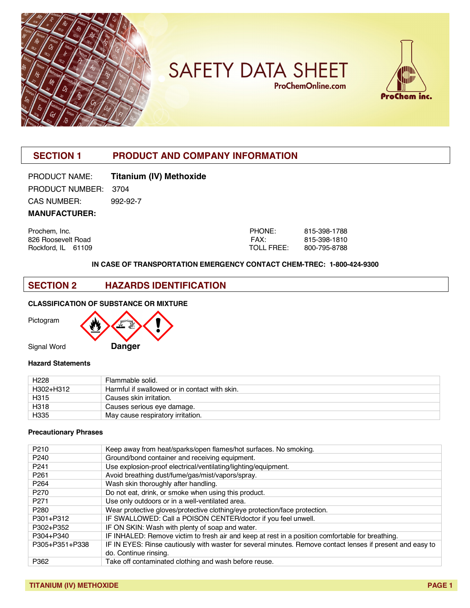

**SAFETY DATA SHEET ProChemOnline.com** 



# **SECTION 1 PRODUCT AND COMPANY INFORMATION**

# PRODUCT NAME: **Titanium (IV) Methoxide**

PRODUCT NUMBER: 3704 CAS NUMBER: 992-92-7

**MANUFACTURER:**

Prochem, Inc. 826 Roosevelt Road Rockford, IL 61109

| PHONF∶     | 815-398-1788 |
|------------|--------------|
| FAX:       | 815-398-1810 |
| TOLL FREE: | 800-795-8788 |

#### **IN CASE OF TRANSPORTATION EMERGENCY CONTACT CHEM-TREC: 1-800-424-9300**

## **SECTION 2 HAZARDS IDENTIFICATION**

#### **CLASSIFICATION OF SUBSTANCE OR MIXTURE**

Pictogram



#### **Hazard Statements**

| H <sub>228</sub> | Flammable solid.                              |
|------------------|-----------------------------------------------|
| H302+H312        | Harmful if swallowed or in contact with skin. |
| H315             | Causes skin irritation.                       |
| H318             | Causes serious eye damage.                    |
| H335             | May cause respiratory irritation.             |

#### **Precautionary Phrases**

| P <sub>210</sub> | Keep away from heat/sparks/open flames/hot surfaces. No smoking.                                           |
|------------------|------------------------------------------------------------------------------------------------------------|
| P <sub>240</sub> | Ground/bond container and receiving equipment.                                                             |
| P <sub>241</sub> | Use explosion-proof electrical/ventilating/lighting/equipment.                                             |
| P <sub>261</sub> | Avoid breathing dust/fume/gas/mist/vapors/spray.                                                           |
| P <sub>264</sub> | Wash skin thoroughly after handling.                                                                       |
| P <sub>270</sub> | Do not eat, drink, or smoke when using this product.                                                       |
| P <sub>271</sub> | Use only outdoors or in a well-ventilated area.                                                            |
| P <sub>280</sub> | Wear protective gloves/protective clothing/eye protection/face protection.                                 |
| P301+P312        | IF SWALLOWED: Call a POISON CENTER/doctor if you feel unwell.                                              |
| P302+P352        | IF ON SKIN: Wash with plenty of soap and water.                                                            |
| P304+P340        | IF INHALED: Remove victim to fresh air and keep at rest in a position comfortable for breathing.           |
| P305+P351+P338   | IF IN EYES: Rinse cautiously with waster for several minutes. Remove contact lenses if present and easy to |
|                  | do. Continue rinsing.                                                                                      |
| P362             | Take off contaminated clothing and wash before reuse.                                                      |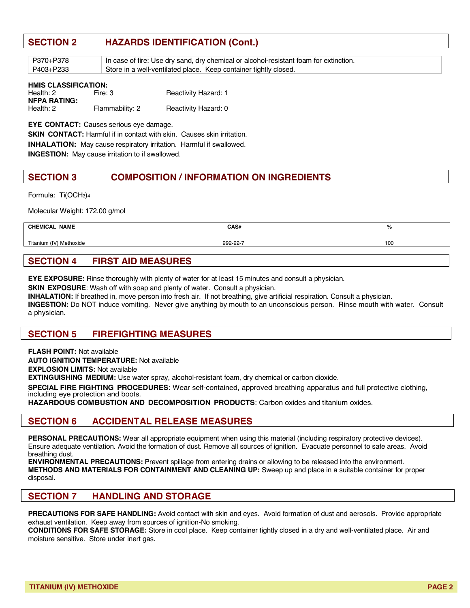## **SECTION 2 HAZARDS IDENTIFICATION (Cont.)**

| P370+P378 | In case of fire: Use dry sand, dry chemical or alcohol-resistant foam for extinction. |
|-----------|---------------------------------------------------------------------------------------|
| P403+P233 | Store in a well-ventilated place. Keep container tightly closed.                      |

| HMIS CLASSIFICATION: |                 |                             |  |  |  |
|----------------------|-----------------|-----------------------------|--|--|--|
| Health: 2            | Fire: 3         | <b>Reactivity Hazard: 1</b> |  |  |  |
| NFPA RATING:         |                 |                             |  |  |  |
| Health: 2            | Flammability: 2 | Reactivity Hazard: 0        |  |  |  |

**EYE CONTACT:** Causes serious eye damage.

**SKIN CONTACT:** Harmful if in contact with skin. Causes skin irritation.

**INHALATION:** May cause respiratory irritation. Harmful if swallowed.

**INGESTION:** May cause irritation to if swallowed.

## **SECTION 3 COMPOSITION / INFORMATION ON INGREDIENTS**

Formula: Ti(OCH3)4

Molecular Weight: 172.00 g/mol

| <b>NAME</b><br><b>CHEMICAL</b> | CAS#     | %   |
|--------------------------------|----------|-----|
| Titanium (IV) Methoxide        | 992-92-7 | 100 |
|                                |          |     |

## **SECTION 4 FIRST AID MEASURES**

**EYE EXPOSURE:** Rinse thoroughly with plenty of water for at least 15 minutes and consult a physician.

**SKIN EXPOSURE**: Wash off with soap and plenty of water. Consult a physician.

**INHALATION:** If breathed in, move person into fresh air. If not breathing, give artificial respiration. Consult a physician.

**INGESTION:** Do NOT induce vomiting. Never give anything by mouth to an unconscious person. Rinse mouth with water. Consult a physician.

#### **SECTION 5 FIREFIGHTING MEASURES**

**FLASH POINT:** Not available

**AUTO IGNITION TEMPERATURE:** Not available

**EXPLOSION LIMITS:** Not available

**EXTINGUISHING MEDIUM:** Use water spray, alcohol-resistant foam, dry chemical or carbon dioxide.

**SPECIAL FIRE FIGHTING PROCEDURES**: Wear self-contained, approved breathing apparatus and full protective clothing, including eye protection and boots.

**HAZARDOUS COMBUSTION AND DECOMPOSITION PRODUCTS**: Carbon oxides and titanium oxides.

### **SECTION 6 ACCIDENTAL RELEASE MEASURES**

**PERSONAL PRECAUTIONS:** Wear all appropriate equipment when using this material (including respiratory protective devices). Ensure adequate ventilation. Avoid the formation of dust. Remove all sources of ignition. Evacuate personnel to safe areas. Avoid breathing dust.

**ENVIRONMENTAL PRECAUTIONS:** Prevent spillage from entering drains or allowing to be released into the environment. **METHODS AND MATERIALS FOR CONTAINMENT AND CLEANING UP:** Sweep up and place in a suitable container for proper disposal.

### **SECTION 7 HANDLING AND STORAGE**

**PRECAUTIONS FOR SAFE HANDLING:** Avoid contact with skin and eyes. Avoid formation of dust and aerosols. Provide appropriate exhaust ventilation. Keep away from sources of ignition-No smoking.

**CONDITIONS FOR SAFE STORAGE:** Store in cool place. Keep container tightly closed in a dry and well-ventilated place. Air and moisture sensitive. Store under inert gas.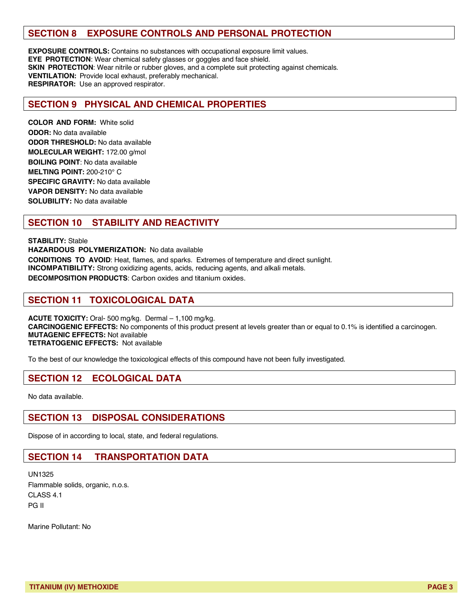## **SECTION 8 EXPOSURE CONTROLS AND PERSONAL PROTECTION**

**EXPOSURE CONTROLS:** Contains no substances with occupational exposure limit values. **EYE PROTECTION**: Wear chemical safety glasses or goggles and face shield. **SKIN PROTECTION**: Wear nitrile or rubber gloves, and a complete suit protecting against chemicals. **VENTILATION:** Provide local exhaust, preferably mechanical. **RESPIRATOR:** Use an approved respirator.

#### **SECTION 9 PHYSICAL AND CHEMICAL PROPERTIES**

**COLOR AND FORM:** White solid **ODOR:** No data available **ODOR THRESHOLD:** No data available **MOLECULAR WEIGHT:** 172.00 g/mol **BOILING POINT**: No data available **MELTING POINT:** 200-210° C **SPECIFIC GRAVITY:** No data available **VAPOR DENSITY:** No data available **SOLUBILITY:** No data available

## **SECTION 10 STABILITY AND REACTIVITY**

**STABILITY:** Stable **HAZARDOUS POLYMERIZATION:** No data available **CONDITIONS TO AVOID**: Heat, flames, and sparks. Extremes of temperature and direct sunlight. **INCOMPATIBILITY:** Strong oxidizing agents, acids, reducing agents, and alkali metals. **DECOMPOSITION PRODUCTS**: Carbon oxides and titanium oxides.

#### **SECTION 11 TOXICOLOGICAL DATA**

**ACUTE TOXICITY:** Oral- 500 mg/kg. Dermal – 1,100 mg/kg. **CARCINOGENIC EFFECTS:** No components of this product present at levels greater than or equal to 0.1% is identified a carcinogen. **MUTAGENIC EFFECTS:** Not available **TETRATOGENIC EFFECTS:** Not available

To the best of our knowledge the toxicological effects of this compound have not been fully investigated.

### **SECTION 12 ECOLOGICAL DATA**

No data available.

#### **SECTION 13 DISPOSAL CONSIDERATIONS**

Dispose of in according to local, state, and federal regulations.

### **SECTION 14 TRANSPORTATION DATA**

UN1325 Flammable solids, organic, n.o.s. CLASS 4.1 PG II

Marine Pollutant: No